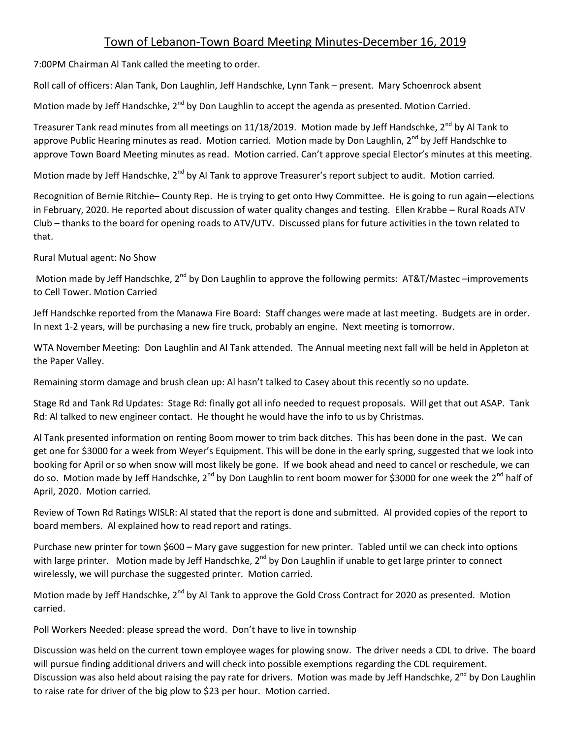## Town of Lebanon-Town Board Meeting Minutes-December 16, 2019

7:00PM Chairman Al Tank called the meeting to order.

Roll call of officers: Alan Tank, Don Laughlin, Jeff Handschke, Lynn Tank – present. Mary Schoenrock absent

Motion made by Jeff Handschke, 2<sup>nd</sup> by Don Laughlin to accept the agenda as presented. Motion Carried.

Treasurer Tank read minutes from all meetings on 11/18/2019. Motion made by Jeff Handschke, 2<sup>nd</sup> by Al Tank to approve Public Hearing minutes as read. Motion carried. Motion made by Don Laughlin, 2<sup>nd</sup> by Jeff Handschke to approve Town Board Meeting minutes as read. Motion carried. Can't approve special Elector's minutes at this meeting.

Motion made by Jeff Handschke, 2<sup>nd</sup> by Al Tank to approve Treasurer's report subject to audit. Motion carried.

Recognition of Bernie Ritchie– County Rep. He is trying to get onto Hwy Committee. He is going to run again—elections in February, 2020. He reported about discussion of water quality changes and testing. Ellen Krabbe – Rural Roads ATV Club – thanks to the board for opening roads to ATV/UTV. Discussed plans for future activities in the town related to that.

Rural Mutual agent: No Show

Motion made by Jeff Handschke, 2<sup>nd</sup> by Don Laughlin to approve the following permits: AT&T/Mastec –improvements to Cell Tower. Motion Carried

Jeff Handschke reported from the Manawa Fire Board: Staff changes were made at last meeting. Budgets are in order. In next 1-2 years, will be purchasing a new fire truck, probably an engine. Next meeting is tomorrow.

WTA November Meeting: Don Laughlin and Al Tank attended. The Annual meeting next fall will be held in Appleton at the Paper Valley.

Remaining storm damage and brush clean up: Al hasn't talked to Casey about this recently so no update.

Stage Rd and Tank Rd Updates: Stage Rd: finally got all info needed to request proposals. Will get that out ASAP. Tank Rd: Al talked to new engineer contact. He thought he would have the info to us by Christmas.

Al Tank presented information on renting Boom mower to trim back ditches. This has been done in the past. We can get one for \$3000 for a week from Weyer's Equipment. This will be done in the early spring, suggested that we look into booking for April or so when snow will most likely be gone. If we book ahead and need to cancel or reschedule, we can do so. Motion made by Jeff Handschke, 2<sup>nd</sup> by Don Laughlin to rent boom mower for \$3000 for one week the 2<sup>nd</sup> half of April, 2020. Motion carried.

Review of Town Rd Ratings WISLR: Al stated that the report is done and submitted. Al provided copies of the report to board members. Al explained how to read report and ratings.

Purchase new printer for town \$600 – Mary gave suggestion for new printer. Tabled until we can check into options with large printer. Motion made by Jeff Handschke, 2<sup>nd</sup> by Don Laughlin if unable to get large printer to connect wirelessly, we will purchase the suggested printer. Motion carried.

Motion made by Jeff Handschke, 2<sup>nd</sup> by Al Tank to approve the Gold Cross Contract for 2020 as presented. Motion carried.

Poll Workers Needed: please spread the word. Don't have to live in township

Discussion was held on the current town employee wages for plowing snow. The driver needs a CDL to drive. The board will pursue finding additional drivers and will check into possible exemptions regarding the CDL requirement. Discussion was also held about raising the pay rate for drivers. Motion was made by Jeff Handschke, 2<sup>nd</sup> by Don Laughlin to raise rate for driver of the big plow to \$23 per hour. Motion carried.